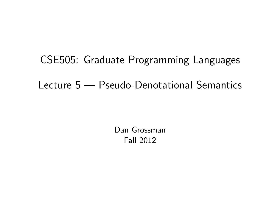CSE505: Graduate Programming Languages Lecture 5 — Pseudo-Denotational Semantics

> <span id="page-0-0"></span>Dan Grossman Fall 2012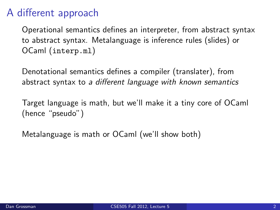## A different approach

Operational semantics defines an interpreter, from abstract syntax to abstract syntax. Metalanguage is inference rules (slides) or OCaml (interp.ml)

Denotational semantics defines a compiler (translater), from abstract syntax to a different language with known semantics

Target language is math, but we'll make it a tiny core of OCaml (hence "pseudo")

Metalanguage is math or OCaml (we'll show both)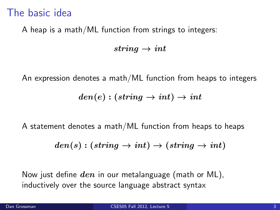### The basic idea

A heap is a math/ML function from strings to integers:

string  $\rightarrow int$ 

An expression denotes a math/ML function from heaps to integers

$$
den(e):(string \rightarrow int) \rightarrow int
$$

A statement denotes a math/ML function from heaps to heaps

$$
den(s):(string\rightarrow int)\rightarrow (string\rightarrow int)
$$

Now just define  $den$  in our metalanguage (math or ML). inductively over the source language abstract syntax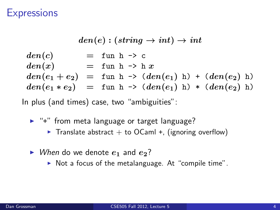#### **Expressions**

$$
den(e): (string \rightarrow int) \rightarrow int
$$
  
\n
$$
den(c) = \text{fun } h \rightarrow c
$$
  
\n
$$
den(x) = \text{fun } h \rightarrow h x
$$
  
\n
$$
den(e_1 + e_2) = \text{fun } h \rightarrow (den(e_1) h) + (den(e_2) h)
$$
  
\n
$$
den(e_1 * e_2) = \text{fun } h \rightarrow (den(e_1) h) * (den(e_2) h)
$$

In plus (and times) case, two "ambiguities":

- ► "+" from meta language or target language?
	- Translate abstract  $+$  to OCaml  $+$ , (ignoring overflow)
- $\triangleright$  When do we denote  $e_1$  and  $e_2$ ?
	- $\triangleright$  Not a focus of the metalanguage. At "compile time".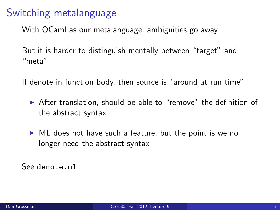## Switching metalanguage

With OCaml as our metalanguage, ambiguities go away

But it is harder to distinguish mentally between "target" and "meta"

If denote in function body, then source is "around at run time"

- $\triangleright$  After translation, should be able to "remove" the definition of the abstract syntax
- $\triangleright$  ML does not have such a feature, but the point is we no longer need the abstract syntax

See denote.ml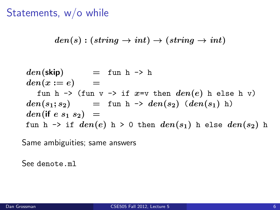# Statements, w/o while

$$
den(s):(string\rightarrow int)\rightarrow (string\rightarrow int)
$$

$$
den(\text{skip}) = \text{fun } h \rightarrow h
$$
  
\n
$$
den(x := e) =
$$
  
\n
$$
fun h \rightarrow (\text{fun } v \rightarrow \text{if } x = v \text{ then } den(e) h \text{ else } h v)
$$
  
\n
$$
den(s_1; s_2) = \text{fun } h \rightarrow den(s_2) (den(s_1) h)
$$
  
\n
$$
den(\text{if } e s_1 s_2) =
$$
  
\n
$$
\text{fun } h \rightarrow \text{if } den(e) h \rightarrow 0 \text{ then } den(s_1) h \text{ else } den(s_2) h
$$

Same ambiguities; same answers

See denote.ml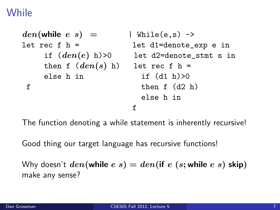## While

```
den(\text{while } e \ s) = \text{while } (\mathrm{e}, \mathrm{s}) \rightarrowlet rec f h = let d1=denote_exp e in
  if den(e) h)>0 let d2=denote_stmt s in
  then f (den(s) h) let rec f h =else h in if (d1 h) > 0f then f (d2 h)else h in
                     f
```
The function denoting a while statement is inherently recursive!

Good thing our target language has recursive functions!

Why doesn't  $den(\text{while } e s) = den(\text{if } e (s; \text{while } e s) \text{ skip})$ make any sense?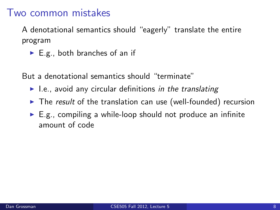#### Two common mistakes

A denotational semantics should "eagerly" translate the entire program

 $\blacktriangleright$  E.g., both branches of an if

But a denotational semantics should "terminate"

- $\blacktriangleright$  I.e., avoid any circular definitions in the translating
- $\triangleright$  The result of the translation can use (well-founded) recursion
- $\blacktriangleright$  E.g., compiling a while-loop should not produce an infinite amount of code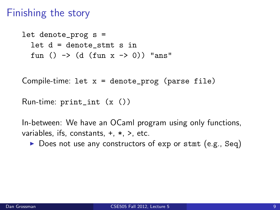#### Finishing the story

```
let denote_prog s =
let d = denote stmt s in
fun () \rightarrow (d (fun x \rightarrow 0)) "ans"
```
Compile-time: let  $x =$  denote\_prog (parse file)

```
Run-time: print_int (x ())
```
In-between: We have an OCaml program using only functions, variables, ifs, constants, +, \*, >, etc.

 $\triangleright$  Does not use any constructors of exp or stmt (e.g., Seq)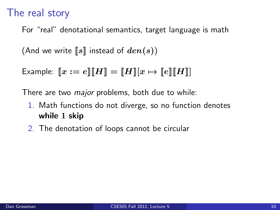### The real story

For "real" denotational semantics, target language is math

(And we write  $[[s]]$  instead of  $den(s)$ )

Example:  $\llbracket x := e \rrbracket \llbracket H \rrbracket = \llbracket H \rrbracket |x \mapsto \llbracket e \rrbracket \llbracket H \rrbracket |$ 

There are two *major* problems, both due to while:

- 1. Math functions do not diverge, so no function denotes while 1 skip
- 2. The denotation of loops cannot be circular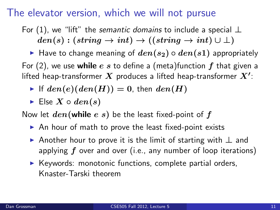#### The elevator version, which we will not pursue

For (1), we "lift" the semantic domains to include a special  $\perp$  $den(s) : (string \rightarrow int) \rightarrow ((string \rightarrow int) \cup \bot)$ 

► Have to change meaning of  $den(s_2) \circ den(s_1)$  appropriately For (2), we use while e s to define a (meta)function  $f$  that given a lifted heap-transformer  $\boldsymbol{X}$  produces a lifted heap-transformer  $\boldsymbol{X'}$ :

- If  $den(e)(den(H)) = 0$ , then  $den(H)$
- Else  $X \circ den(s)$

Now let  $den(\text{while } e \ s)$  be the least fixed-point of f

- $\triangleright$  An hour of math to prove the least fixed-point exists
- $\triangleright$  Another hour to prove it is the limit of starting with  $\perp$  and applying  $f$  over and over (i.e., any number of loop iterations)
- $\blacktriangleright$  Keywords: monotonic functions, complete partial orders, Knaster-Tarski theorem